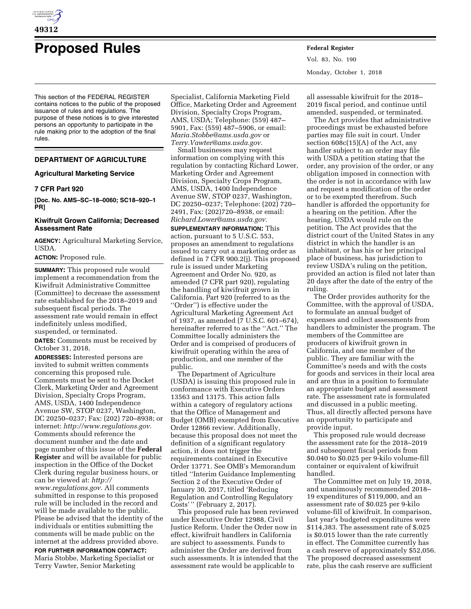

# **Proposed Rules Federal Register**

This section of the FEDERAL REGISTER contains notices to the public of the proposed issuance of rules and regulations. The purpose of these notices is to give interested persons an opportunity to participate in the rule making prior to the adoption of the final rules.

# **DEPARTMENT OF AGRICULTURE**

## **Agricultural Marketing Service**

# **7 CFR Part 920**

**[Doc. No. AMS–SC–18–0060; SC18–920–1 PR]** 

# **Kiwifruit Grown California; Decreased Assessment Rate**

**AGENCY:** Agricultural Marketing Service, USDA.

## **ACTION:** Proposed rule.

**SUMMARY:** This proposed rule would implement a recommendation from the Kiwifruit Administrative Committee (Committee) to decrease the assessment rate established for the 2018–2019 and subsequent fiscal periods. The assessment rate would remain in effect indefinitely unless modified, suspended, or terminated.

**DATES:** Comments must be received by October 31, 2018.

**ADDRESSES:** Interested persons are invited to submit written comments concerning this proposed rule. Comments must be sent to the Docket Clerk, Marketing Order and Agreement Division, Specialty Crops Program, AMS, USDA, 1400 Independence Avenue SW, STOP 0237, Washington, DC 20250–0237; Fax: (202) 720–8938; or internet: *[http://www.regulations.gov.](http://www.regulations.gov)*  Comments should reference the document number and the date and page number of this issue of the **Federal Register** and will be available for public inspection in the Office of the Docket Clerk during regular business hours, or can be viewed at: *[http://](http://www.regulations.gov) [www.regulations.gov.](http://www.regulations.gov)* All comments submitted in response to this proposed rule will be included in the record and will be made available to the public. Please be advised that the identity of the individuals or entities submitting the comments will be made public on the internet at the address provided above.

**FOR FURTHER INFORMATION CONTACT:**  Maria Stobbe, Marketing Specialist or Terry Vawter, Senior Marketing

Specialist, California Marketing Field Office, Marketing Order and Agreement Division, Specialty Crops Program, AMS, USDA; Telephone: (559) 487– 5901, Fax: (559) 487–5906, or email: *[Maria.Stobbe@ams.usda.gov](mailto:Maria.Stobbe@ams.usda.gov)* or *[Terry.Vawter@ams.usda.gov.](mailto:Terry.Vawter@ams.usda.gov)* 

Small businesses may request information on complying with this regulation by contacting Richard Lower, Marketing Order and Agreement Division, Specialty Crops Program, AMS, USDA, 1400 Independence Avenue SW, STOP 0237, Washington, DC 20250–0237; Telephone: (202) 720– 2491, Fax: (202)720–8938, or email: *[Richard.Lower@ams.usda.gov.](mailto:Richard.Lower@ams.usda.gov)* 

**SUPPLEMENTARY INFORMATION:** This action, pursuant to 5 U.S.C. 553, proposes an amendment to regulations issued to carry out a marketing order as defined in 7 CFR 900.2(j). This proposed rule is issued under Marketing Agreement and Order No. 920, as amended (7 CFR part 920), regulating the handling of kiwifruit grown in California. Part 920 (referred to as the ''Order'') is effective under the Agricultural Marketing Agreement Act of 1937, as amended (7 U.S.C. 601–674), hereinafter referred to as the ''Act.'' The Committee locally administers the Order and is comprised of producers of kiwifruit operating within the area of production, and one member of the public.

The Department of Agriculture (USDA) is issuing this proposed rule in conformance with Executive Orders 13563 and 13175. This action falls within a category of regulatory actions that the Office of Management and Budget (OMB) exempted from Executive Order 12866 review. Additionally, because this proposal does not meet the definition of a significant regulatory action, it does not trigger the requirements contained in Executive Order 13771. See OMB's Memorandum titled ''Interim Guidance Implementing Section 2 of the Executive Order of January 30, 2017, titled 'Reducing Regulation and Controlling Regulatory Costs' '' (February 2, 2017).

This proposed rule has been reviewed under Executive Order 12988, Civil Justice Reform. Under the Order now in effect, kiwifruit handlers in California are subject to assessments. Funds to administer the Order are derived from such assessments. It is intended that the assessment rate would be applicable to

Vol. 83, No. 190 Monday, October 1, 2018

all assessable kiwifruit for the 2018– 2019 fiscal period, and continue until amended, suspended, or terminated.

The Act provides that administrative proceedings must be exhausted before parties may file suit in court. Under section 608c(15)(A) of the Act, any handler subject to an order may file with USDA a petition stating that the order, any provision of the order, or any obligation imposed in connection with the order is not in accordance with law and request a modification of the order or to be exempted therefrom. Such handler is afforded the opportunity for a hearing on the petition. After the hearing, USDA would rule on the petition. The Act provides that the district court of the United States in any district in which the handler is an inhabitant, or has his or her principal place of business, has jurisdiction to review USDA's ruling on the petition, provided an action is filed not later than 20 days after the date of the entry of the ruling.

The Order provides authority for the Committee, with the approval of USDA, to formulate an annual budget of expenses and collect assessments from handlers to administer the program. The members of the Committee are producers of kiwifruit grown in California, and one member of the public. They are familiar with the Committee's needs and with the costs for goods and services in their local area and are thus in a position to formulate an appropriate budget and assessment rate. The assessment rate is formulated and discussed in a public meeting. Thus, all directly affected persons have an opportunity to participate and provide input.

This proposed rule would decrease the assessment rate for the 2018–2019 and subsequent fiscal periods from \$0.040 to \$0.025 per 9-kilo volume-fill container or equivalent of kiwifruit handled.

The Committee met on July 19, 2018, and unanimously recommended 2018– 19 expenditures of \$119,000, and an assessment rate of \$0.025 per 9-kilo volume-fill of kiwifruit. In comparison, last year's budgeted expenditures were \$114,383. The assessment rate of \$.025 is \$0.015 lower than the rate currently in effect. The Committee currently has a cash reserve of approximately \$52,056. The proposed decreased assessment rate, plus the cash reserve are sufficient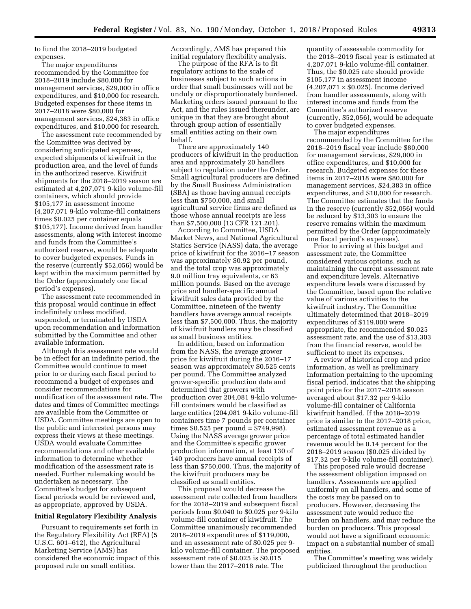to fund the 2018–2019 budgeted expenses.

The major expenditures recommended by the Committee for 2018–2019 include \$80,000 for management services, \$29,000 in office expenditures, and \$10,000 for research. Budgeted expenses for these items in 2017–2018 were \$80,000 for management services, \$24,383 in office expenditures, and \$10,000 for research.

The assessment rate recommended by the Committee was derived by considering anticipated expenses, expected shipments of kiwifruit in the production area, and the level of funds in the authorized reserve. Kiwifruit shipments for the 2018–2019 season are estimated at 4,207,071 9-kilo volume-fill containers, which should provide \$105,177 in assessment income (4,207,071 9-kilo volume-fill containers times \$0.025 per container equals \$105,177). Income derived from handler assessments, along with interest income and funds from the Committee's authorized reserve, would be adequate to cover budgeted expenses. Funds in the reserve (currently \$52,056) would be kept within the maximum permitted by the Order (approximately one fiscal period's expenses).

The assessment rate recommended in this proposal would continue in effect indefinitely unless modified, suspended, or terminated by USDA upon recommendation and information submitted by the Committee and other available information.

Although this assessment rate would be in effect for an indefinite period, the Committee would continue to meet prior to or during each fiscal period to recommend a budget of expenses and consider recommendations for modification of the assessment rate. The dates and times of Committee meetings are available from the Committee or USDA. Committee meetings are open to the public and interested persons may express their views at these meetings. USDA would evaluate Committee recommendations and other available information to determine whether modification of the assessment rate is needed. Further rulemaking would be undertaken as necessary. The Committee's budget for subsequent fiscal periods would be reviewed and, as appropriate, approved by USDA.

#### **Initial Regulatory Flexibility Analysis**

Pursuant to requirements set forth in the Regulatory Flexibility Act (RFA) (5 U.S.C. 601–612), the Agricultural Marketing Service (AMS) has considered the economic impact of this proposed rule on small entities.

Accordingly, AMS has prepared this initial regulatory flexibility analysis.

The purpose of the RFA is to fit regulatory actions to the scale of businesses subject to such actions in order that small businesses will not be unduly or disproportionately burdened. Marketing orders issued pursuant to the Act, and the rules issued thereunder, are unique in that they are brought about through group action of essentially small entities acting on their own behalf.

There are approximately 140 producers of kiwifruit in the production area and approximately 20 handlers subject to regulation under the Order. Small agricultural producers are defined by the Small Business Administration (SBA) as those having annual receipts less than \$750,000, and small agricultural service firms are defined as those whose annual receipts are less than \$7,500,000 (13 CFR 121.201).

According to Committee, USDA Market News, and National Agricultural Statics Service (NASS) data, the average price of kiwifruit for the 2016–17 season was approximately \$0.92 per pound, and the total crop was approximately 9.0 million tray equivalents, or 63 million pounds. Based on the average price and handler-specific annual kiwifruit sales data provided by the Committee, nineteen of the twenty handlers have average annual receipts less than \$7,500,000. Thus, the majority of kiwifruit handlers may be classified as small business entities.

In addition, based on information from the NASS, the average grower price for kiwifruit during the 2016–17 season was approximately \$0.525 cents per pound. The Committee analyzed grower-specific production data and determined that growers with production over 204,081 9-kilo volumefill containers would be classified as large entities (204,081 9-kilo volume-fill containers time 7 pounds per container times \$0.525 per pound = \$749,998). Using the NASS average grower price and the Committee's specific grower production information, at least 130 of 140 producers have annual receipts of less than \$750,000. Thus, the majority of the kiwifruit producers may be classified as small entities.

This proposal would decrease the assessment rate collected from handlers for the 2018–2019 and subsequent fiscal periods from \$0.040 to \$0.025 per 9-kilo volume-fill container of kiwifruit. The Committee unanimously recommended 2018–2019 expenditures of \$119,000, and an assessment rate of \$0.025 per 9 kilo volume-fill container. The proposed assessment rate of \$0.025 is \$0.015 lower than the 2017–2018 rate. The

quantity of assessable commodity for the 2018–2019 fiscal year is estimated at 4,207,071 9-kilo volume-fill container. Thus, the \$0.025 rate should provide \$105,177 in assessment income  $(4,207,071 \times $0.025)$ . Income derived from handler assessments, along with interest income and funds from the Committee's authorized reserve (currently, \$52,056), would be adequate to cover budgeted expenses.

The major expenditures recommended by the Committee for the 2018–2019 fiscal year include \$80,000 for management services, \$29,000 in office expenditures, and \$10,000 for research. Budgeted expenses for these items in 2017–2018 were \$80,000 for management services, \$24,383 in office expenditures, and \$10,000 for research. The Committee estimates that the funds in the reserve (currently \$52,056) would be reduced by \$13,303 to ensure the reserve remains within the maximum permitted by the Order (approximately one fiscal period's expenses).

Prior to arriving at this budget and assessment rate, the Committee considered various options, such as maintaining the current assessment rate and expenditure levels. Alternative expenditure levels were discussed by the Committee, based upon the relative value of various activities to the kiwifruit industry. The Committee ultimately determined that 2018–2019 expenditures of \$119,000 were appropriate, the recommended \$0.025 assessment rate, and the use of \$13,303 from the financial reserve, would be sufficient to meet its expenses.

A review of historical crop and price information, as well as preliminary information pertaining to the upcoming fiscal period, indicates that the shipping point price for the 2017–2018 season averaged about \$17.32 per 9-kilo volume-fill container of California kiwifruit handled. If the 2018–2019 price is similar to the 2017–2018 price, estimated assessment revenue as a percentage of total estimated handler revenue would be 0.14 percent for the 2018–2019 season (\$0.025 divided by \$17.32 per 9-kilo volume-fill container).

This proposed rule would decrease the assessment obligation imposed on handlers. Assessments are applied uniformly on all handlers, and some of the costs may be passed on to producers. However, decreasing the assessment rate would reduce the burden on handlers, and may reduce the burden on producers. This proposal would not have a significant economic impact on a substantial number of small entities.

The Committee's meeting was widely publicized throughout the production